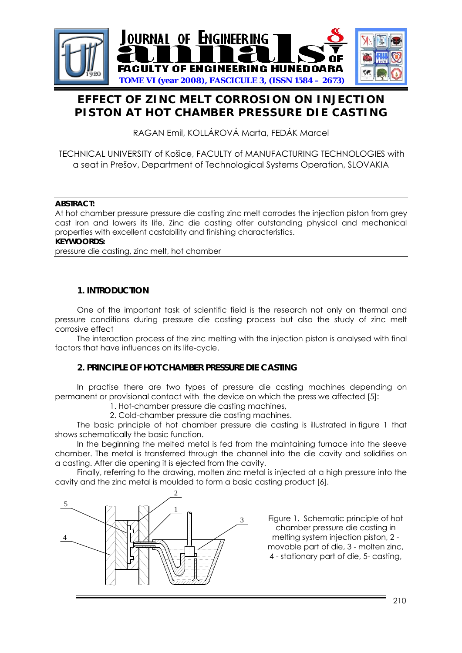

# **EFFECT OF ZINC MELT CORROSION ON INJECTION PISTON AT HOT CHAMBER PRESSURE DIE CASTING**

RAGAN Emil, KOLLÁROVÁ Marta, FEDÁK Marcel

## TECHNICAL UNIVERSITY of Košice, FACULTY of MANUFACTURING TECHNOLOGIES with a seat in Prešov, Department of Technological Systems Operation, SLOVAKIA

#### **ABSTRACT:**

At hot chamber pressure pressure die casting zinc melt corrodes the injection piston from grey cast iron and lowers its life. Zinc die casting offer outstanding physical and mechanical properties with excellent castability and finishing characteristics.

#### **KEYWOORDS:**

pressure die casting, zinc melt, hot chamber

#### **1. INTRODUCTION**

One of the important task of scientific field is the research not only on thermal and pressure conditions during pressure die casting process but also the study of zinc melt corrosive effect

The interaction process of the zinc melting with the injection piston is analysed with final factors that have influences on its life-cycle.

## **2. PRINCIPLE OF HOT CHAMBER PRESSURE DIE CASTING**

In practise there are two types of pressure die casting machines depending on permanent or provisional contact with the device on which the press we affected [5]:

- 1. Hot-chamber pressure die casting machines,
- 2. Cold-chamber pressure die casting machines.

The basic principle of hot chamber pressure die casting is illustrated in figure 1 that shows schematically the basic function.

In the beginning the melted metal is fed from the maintaining furnace into the sleeve chamber. The metal is transferred through the channel into the die cavity and solidifies on a casting. After die opening it is ejected from the cavity.

Finally, referring to the drawing, molten zinc metal is injected at a high pressure into the cavity and the zinc metal is moulded to form a basic casting product [6].



Figure 1. Schematic principle of hot chamber pressure die casting in melting system injection piston, 2 movable part of die, 3 - molten zinc, 4 - stationary part of die, 5- casting,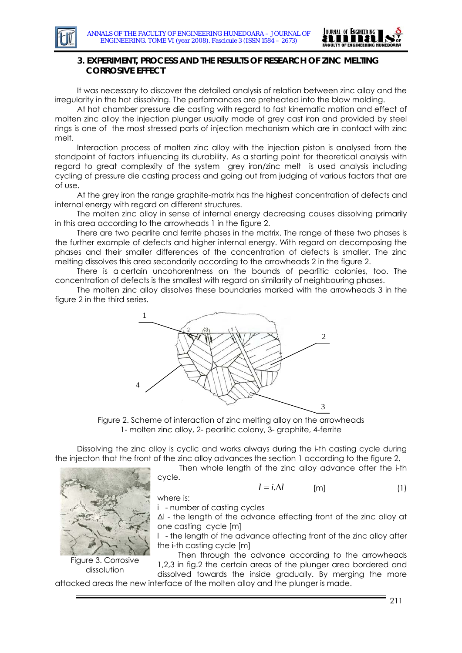

## **3. EXPERIMENT, PROCESS AND THE RESULTS OF RESEARCH OF ZINC MELTING CORROSIVE EFFECT**

It was necessary to discover the detailed analysis of relation between zinc alloy and the irregularity in the hot dissolving. The performances are preheated into the blow molding.

At hot chamber pressure die casting with regard to fast kinematic motion and effect of molten zinc alloy the injection plunger usually made of grey cast iron and provided by steel rings is one of the most stressed parts of injection mechanism which are in contact with zinc melt.

Interaction process of molten zinc alloy with the injection piston is analysed from the standpoint of factors influencing its durability. As a starting point for theoretical analysis with regard to great complexity of the system grey iron/zinc melt is used analysis including cycling of pressure die casting process and going out from judging of various factors that are of use.

At the grey iron the range graphite-matrix has the highest concentration of defects and internal energy with regard on different structures.

The molten zinc alloy in sense of internal energy decreasing causes dissolving primarily in this area according to the arrowheads 1 in the figure 2.

There are two pearlite and ferrite phases in the matrix. The range of these two phases is the further example of defects and higher internal energy. With regard on decomposing the phases and their smaller differences of the concentration of defects is smaller. The zinc melting dissolves this area secondarily according to the arrowheads 2 in the figure 2.

There is a certain uncohorentness on the bounds of pearlitic colonies, too. The concentration of defects is the smallest with regard on similarity of neighbouring phases.

The molten zinc alloy dissolves these boundaries marked with the arrowheads 3 in the figure 2 in the third series.



Figure 2. Scheme of interaction of zinc melting alloy on the arrowheads 1- molten zinc alloy, 2- pearlitic colony, 3- graphite, 4-ferrite

Dissolving the zinc alloy is cyclic and works always during the i-th casting cycle during the injecton that the front of the zinc alloy advances the section 1 according to the figure 2.

Then whole length of the zinc alloy advance after the i-th cycle.

where is:

Figure 3. Corrosive dissolution

$$
l = i.\Delta l \qquad \qquad [m] \qquad (1)
$$

$$
\mathbf{r} \cdot \mathbf{r} \cdot \mathbf{r}
$$

i - number of casting cycles

Δl - the length of the advance effecting front of the zinc alloy at one casting cycle [m]

l - the length of the advance affecting front of the zinc alloy after the i-th casting cycle [m]

Then through the advance according to the arrowheads 1,2,3 in fig.2 the certain areas of the plunger area bordered and dissolved towards the inside gradually. By merging the more

attacked areas the new interface of the molten alloy and the plunger is made.